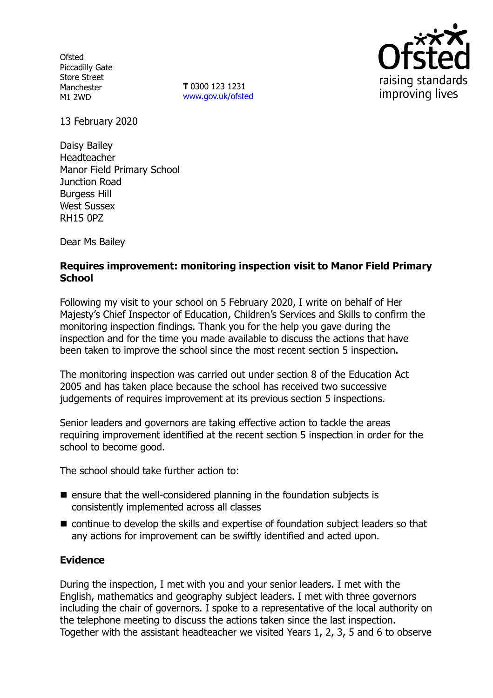**Ofsted** Piccadilly Gate Store Street Manchester M1 2WD

**T** 0300 123 1231 [www.gov.uk/ofsted](http://www.gov.uk/ofsted)



13 February 2020

Daisy Bailey Headteacher Manor Field Primary School Junction Road Burgess Hill West Sussex RH15 0PZ

Dear Ms Bailey

# **Requires improvement: monitoring inspection visit to Manor Field Primary School**

Following my visit to your school on 5 February 2020, I write on behalf of Her Majesty's Chief Inspector of Education, Children's Services and Skills to confirm the monitoring inspection findings. Thank you for the help you gave during the inspection and for the time you made available to discuss the actions that have been taken to improve the school since the most recent section 5 inspection.

The monitoring inspection was carried out under section 8 of the Education Act 2005 and has taken place because the school has received two successive judgements of requires improvement at its previous section 5 inspections.

Senior leaders and governors are taking effective action to tackle the areas requiring improvement identified at the recent section 5 inspection in order for the school to become good.

The school should take further action to:

- $\blacksquare$  ensure that the well-considered planning in the foundation subjects is consistently implemented across all classes
- continue to develop the skills and expertise of foundation subject leaders so that any actions for improvement can be swiftly identified and acted upon.

## **Evidence**

During the inspection, I met with you and your senior leaders. I met with the English, mathematics and geography subject leaders. I met with three governors including the chair of governors. I spoke to a representative of the local authority on the telephone meeting to discuss the actions taken since the last inspection. Together with the assistant headteacher we visited Years 1, 2, 3, 5 and 6 to observe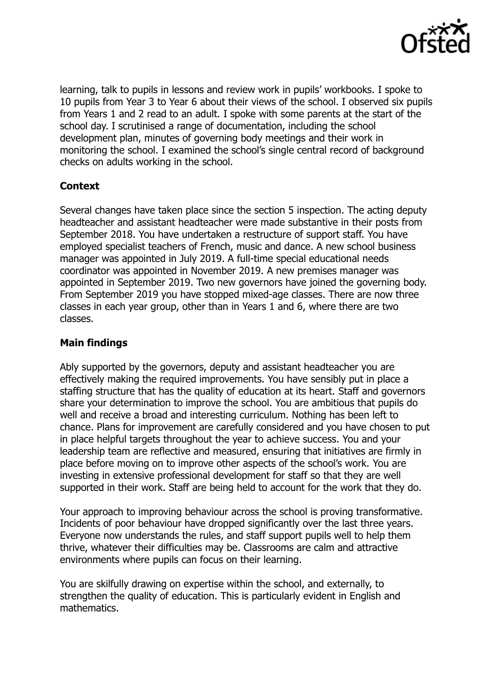

learning, talk to pupils in lessons and review work in pupils' workbooks. I spoke to 10 pupils from Year 3 to Year 6 about their views of the school. I observed six pupils from Years 1 and 2 read to an adult. I spoke with some parents at the start of the school day. I scrutinised a range of documentation, including the school development plan, minutes of governing body meetings and their work in monitoring the school. I examined the school's single central record of background checks on adults working in the school.

## **Context**

Several changes have taken place since the section 5 inspection. The acting deputy headteacher and assistant headteacher were made substantive in their posts from September 2018. You have undertaken a restructure of support staff. You have employed specialist teachers of French, music and dance. A new school business manager was appointed in July 2019. A full-time special educational needs coordinator was appointed in November 2019. A new premises manager was appointed in September 2019. Two new governors have joined the governing body. From September 2019 you have stopped mixed-age classes. There are now three classes in each year group, other than in Years 1 and 6, where there are two classes.

## **Main findings**

Ably supported by the governors, deputy and assistant headteacher you are effectively making the required improvements. You have sensibly put in place a staffing structure that has the quality of education at its heart. Staff and governors share your determination to improve the school. You are ambitious that pupils do well and receive a broad and interesting curriculum. Nothing has been left to chance. Plans for improvement are carefully considered and you have chosen to put in place helpful targets throughout the year to achieve success. You and your leadership team are reflective and measured, ensuring that initiatives are firmly in place before moving on to improve other aspects of the school's work. You are investing in extensive professional development for staff so that they are well supported in their work. Staff are being held to account for the work that they do.

Your approach to improving behaviour across the school is proving transformative. Incidents of poor behaviour have dropped significantly over the last three years. Everyone now understands the rules, and staff support pupils well to help them thrive, whatever their difficulties may be. Classrooms are calm and attractive environments where pupils can focus on their learning.

You are skilfully drawing on expertise within the school, and externally, to strengthen the quality of education. This is particularly evident in English and mathematics.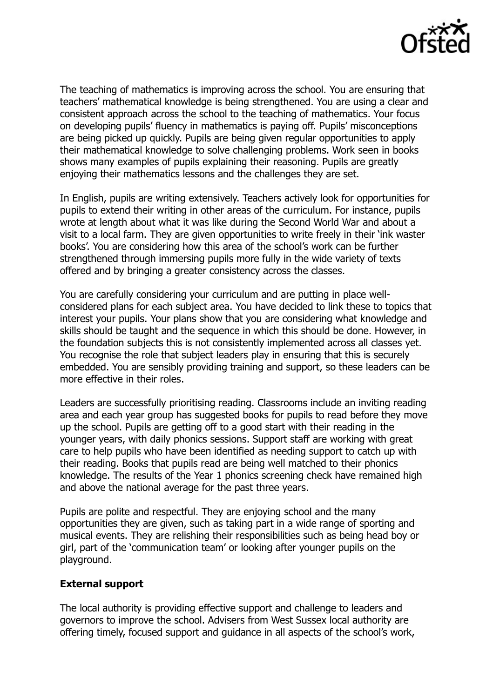

The teaching of mathematics is improving across the school. You are ensuring that teachers' mathematical knowledge is being strengthened. You are using a clear and consistent approach across the school to the teaching of mathematics. Your focus on developing pupils' fluency in mathematics is paying off. Pupils' misconceptions are being picked up quickly. Pupils are being given regular opportunities to apply their mathematical knowledge to solve challenging problems. Work seen in books shows many examples of pupils explaining their reasoning. Pupils are greatly enjoying their mathematics lessons and the challenges they are set.

In English, pupils are writing extensively. Teachers actively look for opportunities for pupils to extend their writing in other areas of the curriculum. For instance, pupils wrote at length about what it was like during the Second World War and about a visit to a local farm. They are given opportunities to write freely in their 'ink waster books'. You are considering how this area of the school's work can be further strengthened through immersing pupils more fully in the wide variety of texts offered and by bringing a greater consistency across the classes.

You are carefully considering your curriculum and are putting in place wellconsidered plans for each subject area. You have decided to link these to topics that interest your pupils. Your plans show that you are considering what knowledge and skills should be taught and the sequence in which this should be done. However, in the foundation subjects this is not consistently implemented across all classes yet. You recognise the role that subject leaders play in ensuring that this is securely embedded. You are sensibly providing training and support, so these leaders can be more effective in their roles.

Leaders are successfully prioritising reading. Classrooms include an inviting reading area and each year group has suggested books for pupils to read before they move up the school. Pupils are getting off to a good start with their reading in the younger years, with daily phonics sessions. Support staff are working with great care to help pupils who have been identified as needing support to catch up with their reading. Books that pupils read are being well matched to their phonics knowledge. The results of the Year 1 phonics screening check have remained high and above the national average for the past three years.

Pupils are polite and respectful. They are enjoying school and the many opportunities they are given, such as taking part in a wide range of sporting and musical events. They are relishing their responsibilities such as being head boy or girl, part of the 'communication team' or looking after younger pupils on the playground.

## **External support**

The local authority is providing effective support and challenge to leaders and governors to improve the school. Advisers from West Sussex local authority are offering timely, focused support and guidance in all aspects of the school's work,